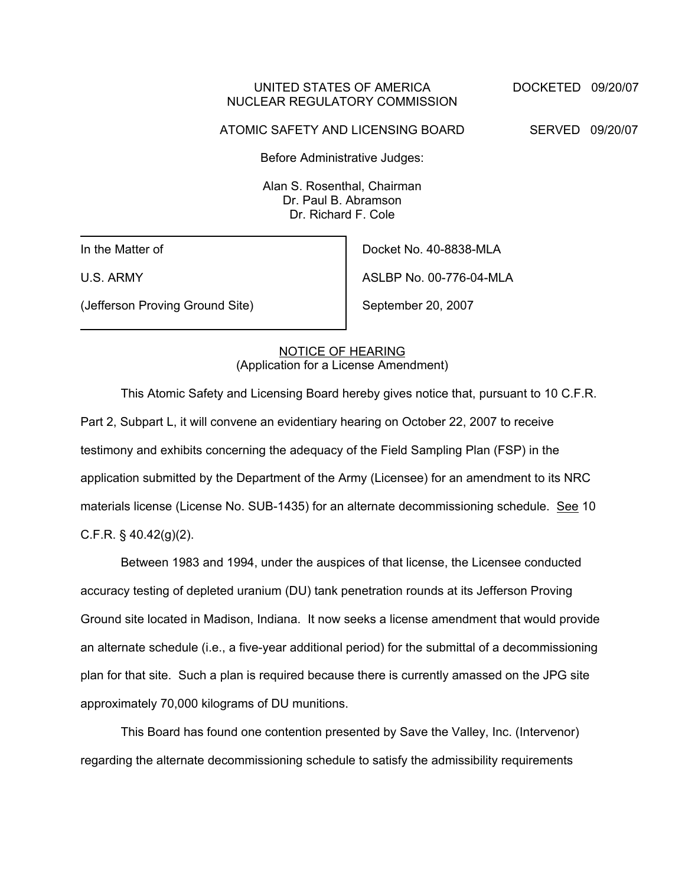### UNITED STATES OF AMERICA DOCKETED 09/20/07 NUCLEAR REGULATORY COMMISSION

ATOMIC SAFETY AND LICENSING BOARD SERVED 09/20/07

Before Administrative Judges:

Alan S. Rosenthal, Chairman Dr. Paul B. Abramson Dr. Richard F. Cole

In the Matter of

U.S. ARMY

(Jefferson Proving Ground Site)

Docket No. 40-8838-MLA ASLBP No. 00-776-04-MLA

September 20, 2007

# NOTICE OF HEARING (Application for a License Amendment)

This Atomic Safety and Licensing Board hereby gives notice that, pursuant to 10 C.F.R. Part 2, Subpart L, it will convene an evidentiary hearing on October 22, 2007 to receive testimony and exhibits concerning the adequacy of the Field Sampling Plan (FSP) in the application submitted by the Department of the Army (Licensee) for an amendment to its NRC materials license (License No. SUB-1435) for an alternate decommissioning schedule. See 10 C.F.R. § 40.42(g)(2).

Between 1983 and 1994, under the auspices of that license, the Licensee conducted accuracy testing of depleted uranium (DU) tank penetration rounds at its Jefferson Proving Ground site located in Madison, Indiana. It now seeks a license amendment that would provide an alternate schedule (i.e., a five-year additional period) for the submittal of a decommissioning plan for that site. Such a plan is required because there is currently amassed on the JPG site approximately 70,000 kilograms of DU munitions.

This Board has found one contention presented by Save the Valley, Inc. (Intervenor) regarding the alternate decommissioning schedule to satisfy the admissibility requirements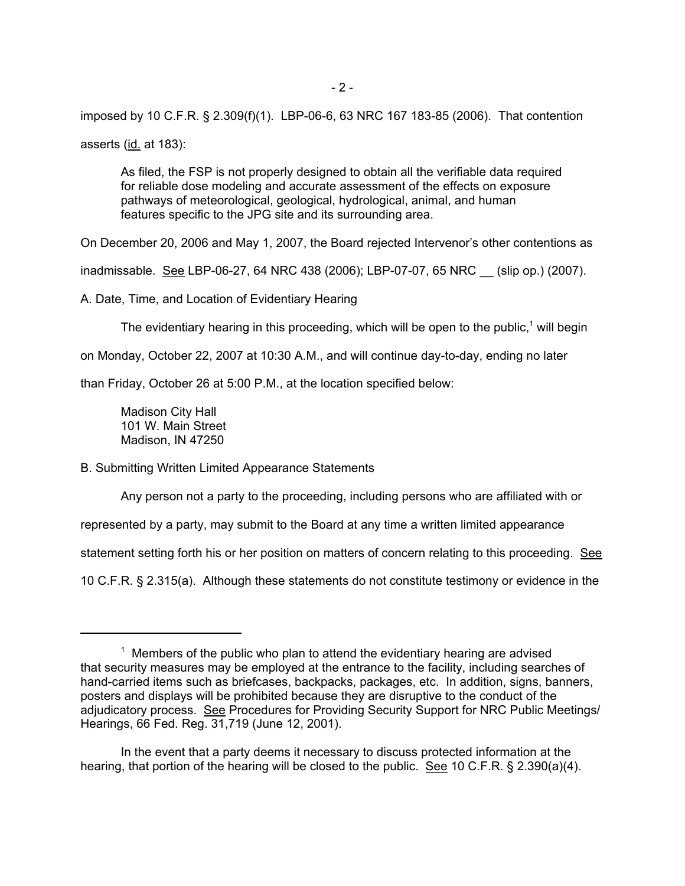imposed by 10 C.F.R. § 2.309(f)(1). LBP-06-6, 63 NRC 167 183-85 (2006). That contention asserts (id. at 183):

As filed, the FSP is not properly designed to obtain all the verifiable data required for reliable dose modeling and accurate assessment of the effects on exposure pathways of meteorological, geological, hydrological, animal, and human features specific to the JPG site and its surrounding area.

On December 20, 2006 and May 1, 2007, the Board rejected Intervenor's other contentions as

inadmissable. See LBP-06-27, 64 NRC 438 (2006); LBP-07-07, 65 NRC \_\_ (slip op.) (2007).

A. Date, Time, and Location of Evidentiary Hearing

The evidentiary hearing in this proceeding, which will be open to the public,<sup>1</sup> will begin

on Monday, October 22, 2007 at 10:30 A.M., and will continue day-to-day, ending no later

than Friday, October 26 at 5:00 P.M., at the location specified below:

Madison City Hall 101 W. Main Street Madison, IN 47250

B. Submitting Written Limited Appearance Statements

Any person not a party to the proceeding, including persons who are affiliated with or

represented by a party, may submit to the Board at any time a written limited appearance

statement setting forth his or her position on matters of concern relating to this proceeding. See

10 C.F.R. § 2.315(a). Although these statements do not constitute testimony or evidence in the

 $1$  Members of the public who plan to attend the evidentiary hearing are advised that security measures may be employed at the entrance to the facility, including searches of hand-carried items such as briefcases, backpacks, packages, etc. In addition, signs, banners, posters and displays will be prohibited because they are disruptive to the conduct of the adjudicatory process. See Procedures for Providing Security Support for NRC Public Meetings/ Hearings, 66 Fed. Reg. 31,719 (June 12, 2001).

In the event that a party deems it necessary to discuss protected information at the hearing, that portion of the hearing will be closed to the public. See 10 C.F.R. § 2.390(a)(4).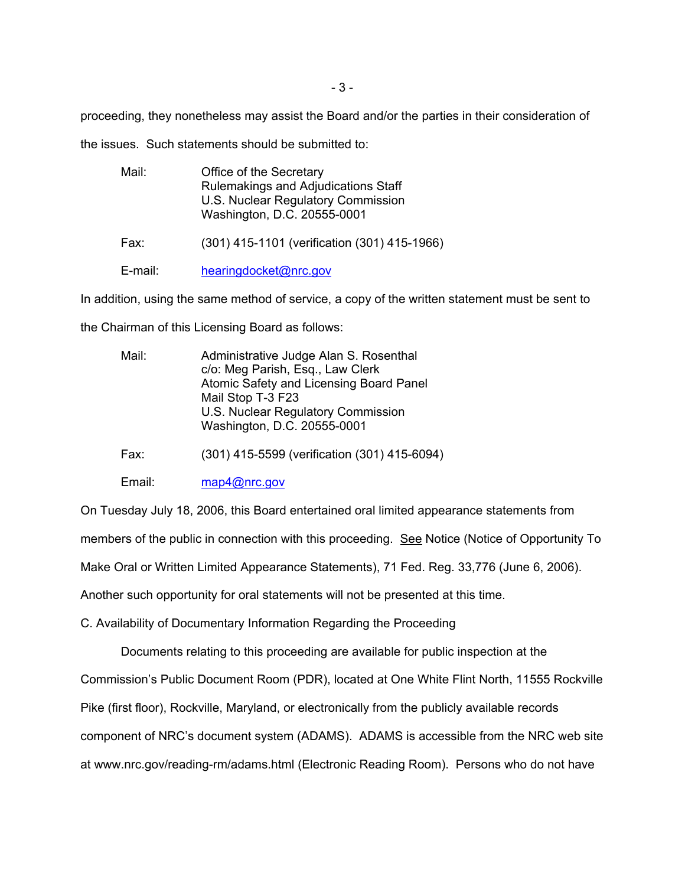proceeding, they nonetheless may assist the Board and/or the parties in their consideration of

the issues. Such statements should be submitted to:

| Mail:   | Office of the Secretary<br>Rulemakings and Adjudications Staff<br>U.S. Nuclear Regulatory Commission<br>Washington, D.C. 20555-0001 |
|---------|-------------------------------------------------------------------------------------------------------------------------------------|
| Fax:    | (301) 415-1101 (verification (301) 415-1966)                                                                                        |
| E-mail: | hearingdocket@nrc.gov                                                                                                               |

In addition, using the same method of service, a copy of the written statement must be sent to

the Chairman of this Licensing Board as follows:

| Mail: | Administrative Judge Alan S. Rosenthal<br>c/o: Meg Parish, Esq., Law Clerk |
|-------|----------------------------------------------------------------------------|
|       | Atomic Safety and Licensing Board Panel                                    |
|       |                                                                            |
|       | Mail Stop T-3 F23                                                          |
|       | U.S. Nuclear Regulatory Commission                                         |
|       | Washington, D.C. 20555-0001                                                |
|       |                                                                            |

Fax: (301) 415-5599 (verification (301) 415-6094)

Email: map4@nrc.gov

On Tuesday July 18, 2006, this Board entertained oral limited appearance statements from members of the public in connection with this proceeding. See Notice (Notice of Opportunity To Make Oral or Written Limited Appearance Statements), 71 Fed. Reg. 33,776 (June 6, 2006). Another such opportunity for oral statements will not be presented at this time.

C. Availability of Documentary Information Regarding the Proceeding

Documents relating to this proceeding are available for public inspection at the Commission's Public Document Room (PDR), located at One White Flint North, 11555 Rockville Pike (first floor), Rockville, Maryland, or electronically from the publicly available records component of NRC's document system (ADAMS). ADAMS is accessible from the NRC web site at www.nrc.gov/reading-rm/adams.html (Electronic Reading Room). Persons who do not have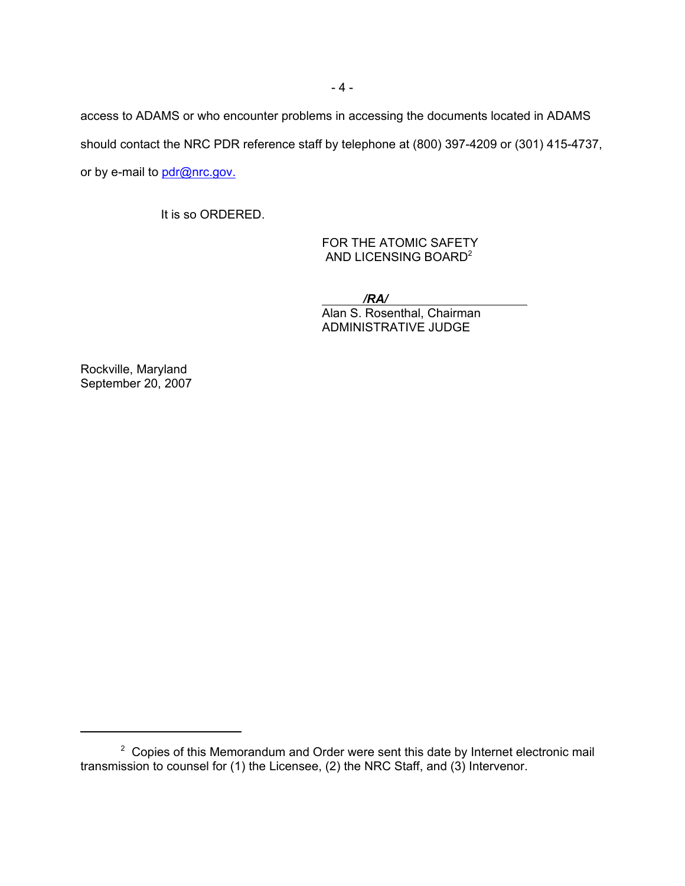access to ADAMS or who encounter problems in accessing the documents located in ADAMS should contact the NRC PDR reference staff by telephone at (800) 397-4209 or (301) 415-4737, or by e-mail to pdr@nrc.gov.

It is so ORDERED.

FOR THE ATOMIC SAFETY AND LICENSING BOARD2

 */RA/*  Alan S. Rosenthal, Chairman ADMINISTRATIVE JUDGE

Rockville, Maryland September 20, 2007

 $2$  Copies of this Memorandum and Order were sent this date by Internet electronic mail transmission to counsel for (1) the Licensee, (2) the NRC Staff, and (3) Intervenor.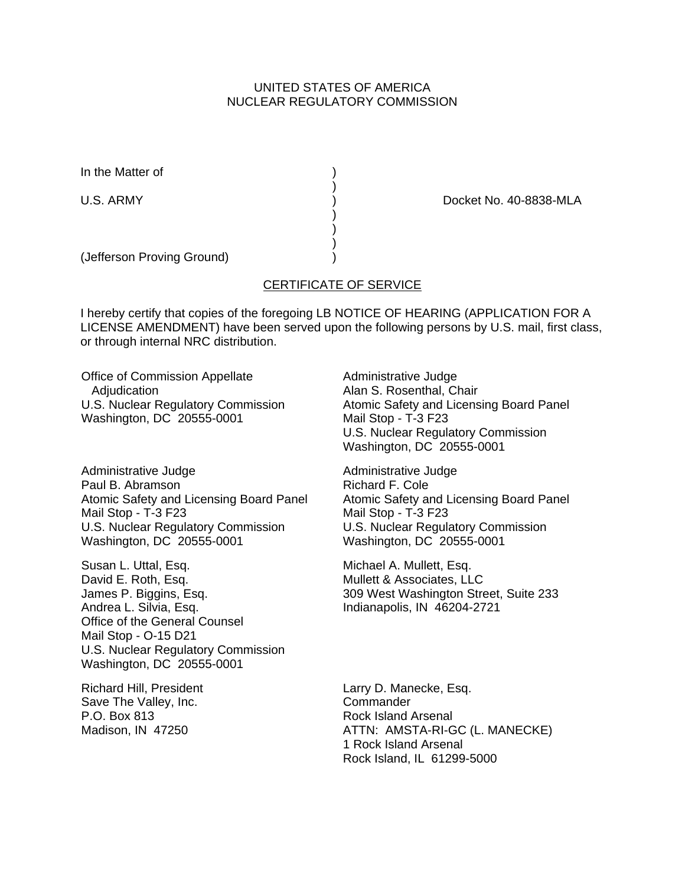# UNITED STATES OF AMERICA NUCLEAR REGULATORY COMMISSION

In the Matter of (1)

U.S. ARMY (U.S. ARMY ) Docket No. 40-8838-MLA

(Jefferson Proving Ground) )

# CERTIFICATE OF SERVICE

)

 ) ) )

I hereby certify that copies of the foregoing LB NOTICE OF HEARING (APPLICATION FOR A LICENSE AMENDMENT) have been served upon the following persons by U.S. mail, first class, or through internal NRC distribution.

Office of Commission Appellate **Adjudication** U.S. Nuclear Regulatory Commission Washington, DC 20555-0001

Administrative Judge Paul B. Abramson Atomic Safety and Licensing Board Panel Mail Stop - T-3 F23 U.S. Nuclear Regulatory Commission Washington, DC 20555-0001

Susan L. Uttal, Esq. David E. Roth, Esq. James P. Biggins, Esq. Andrea L. Silvia, Esq. Office of the General Counsel Mail Stop - O-15 D21 U.S. Nuclear Regulatory Commission Washington, DC 20555-0001

Richard Hill, President Save The Valley, Inc. P.O. Box 813 Madison, IN 47250

Administrative Judge Alan S. Rosenthal, Chair Atomic Safety and Licensing Board Panel Mail Stop - T-3 F23 U.S. Nuclear Regulatory Commission Washington, DC 20555-0001

Administrative Judge Richard F. Cole Atomic Safety and Licensing Board Panel Mail Stop - T-3 F23 U.S. Nuclear Regulatory Commission Washington, DC 20555-0001

Michael A. Mullett, Esq. Mullett & Associates, LLC 309 West Washington Street, Suite 233 Indianapolis, IN 46204-2721

Larry D. Manecke, Esq. **Commander** Rock Island Arsenal ATTN: AMSTA-RI-GC (L. MANECKE) 1 Rock Island Arsenal Rock Island, IL 61299-5000